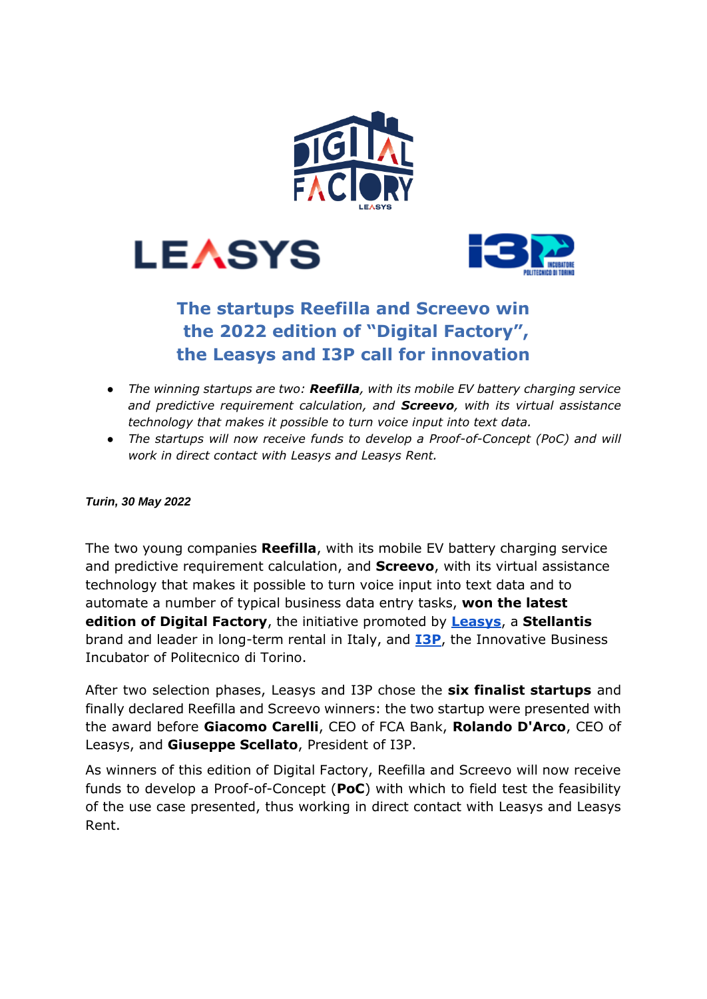





# **The startups Reefilla and Screevo win the 2022 edition of "Digital Factory", the Leasys and I3P call for innovation**

- *The winning startups are two: Reefilla, with its mobile EV battery charging service and predictive requirement calculation, and Screevo, with its virtual assistance technology that makes it possible to turn voice input into text data.*
- *The startups will now receive funds to develop a Proof-of-Concept (PoC) and will work in direct contact with Leasys and Leasys Rent.*

### *Turin, 30 May 2022*

The two young companies **Reefilla**, with its mobile EV battery charging service and predictive requirement calculation, and **Screevo**, with its virtual assistance technology that makes it possible to turn voice input into text data and to automate a number of typical business data entry tasks, **won the latest edition of Digital Factory**, the initiative promoted by **[Leasys](https://www.leasys.com/)**, a **Stellantis** brand and leader in long-term rental in Italy, and **[I3P](https://www.i3p.it/)**, the Innovative Business Incubator of Politecnico di Torino.

After two selection phases, Leasys and I3P chose the **six finalist startups** and finally declared Reefilla and Screevo winners: the two startup were presented with the award before **Giacomo Carelli**, CEO of FCA Bank, **Rolando D'Arco**, CEO of Leasys, and **Giuseppe Scellato**, President of I3P.

As winners of this edition of Digital Factory, Reefilla and Screevo will now receive funds to develop a Proof-of-Concept (**PoC**) with which to field test the feasibility of the use case presented, thus working in direct contact with Leasys and Leasys Rent.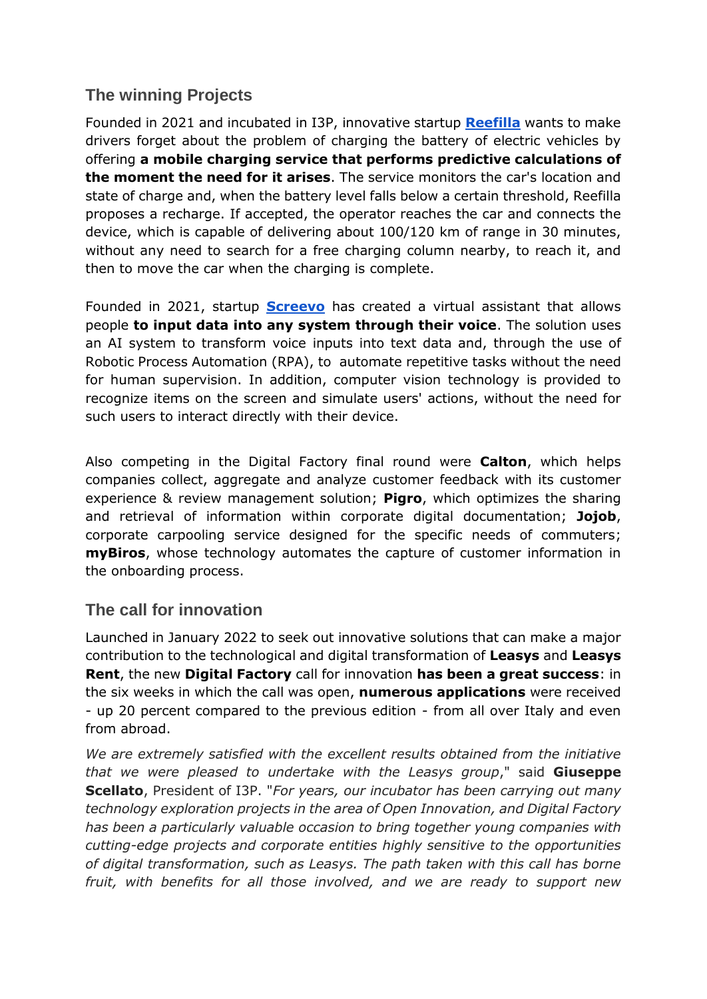## **The winning Projects**

Founded in 2021 and incubated in I3P, innovative startup **[Reefilla](https://www.reefilla.com/)** wants to make drivers forget about the problem of charging the battery of electric vehicles by offering **a mobile charging service that performs predictive calculations of the moment the need for it arises**. The service monitors the car's location and state of charge and, when the battery level falls below a certain threshold, Reefilla proposes a recharge. If accepted, the operator reaches the car and connects the device, which is capable of delivering about 100/120 km of range in 30 minutes, without any need to search for a free charging column nearby, to reach it, and then to move the car when the charging is complete.

Founded in 2021, startup **[Screevo](https://screevo.ai/)** has created a virtual assistant that allows people **to input data into any system through their voice**. The solution uses an AI system to transform voice inputs into text data and, through the use of Robotic Process Automation (RPA), to automate repetitive tasks without the need for human supervision. In addition, computer vision technology is provided to recognize items on the screen and simulate users' actions, without the need for such users to interact directly with their device.

Also competing in the Digital Factory final round were **Calton**, which helps companies collect, aggregate and analyze customer feedback with its customer experience & review management solution; **Pigro**, which optimizes the sharing and retrieval of information within corporate digital documentation; **Jojob**, corporate carpooling service designed for the specific needs of commuters; **myBiros**, whose technology automates the capture of customer information in the onboarding process.

### **The call for innovation**

Launched in January 2022 to seek out innovative solutions that can make a major contribution to the technological and digital transformation of **Leasys** and **Leasys Rent**, the new **Digital Factory** call for innovation **has been a great success**: in the six weeks in which the call was open, **numerous applications** were received - up 20 percent compared to the previous edition - from all over Italy and even from abroad.

*We are extremely satisfied with the excellent results obtained from the initiative that we were pleased to undertake with the Leasys group*," said **Giuseppe Scellato**, President of I3P. "*For years, our incubator has been carrying out many technology exploration projects in the area of Open Innovation, and Digital Factory has been a particularly valuable occasion to bring together young companies with cutting-edge projects and corporate entities highly sensitive to the opportunities of digital transformation, such as Leasys. The path taken with this call has borne fruit, with benefits for all those involved, and we are ready to support new*